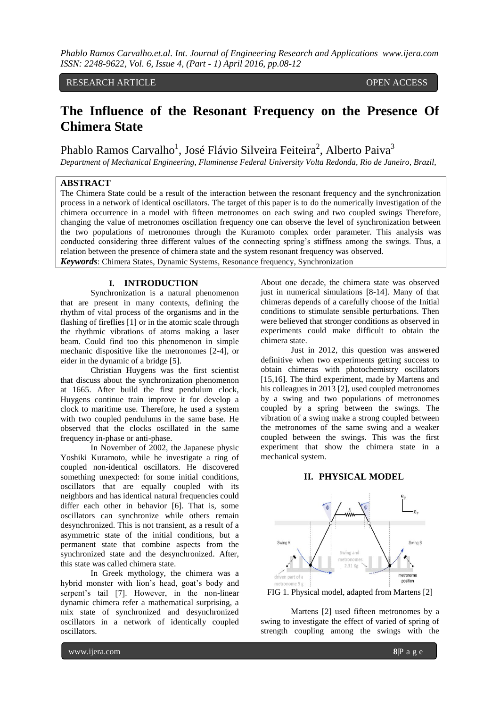### RESEARCH ARTICLE OPEN ACCESS

# **The Influence of the Resonant Frequency on the Presence Of Chimera State**

Phablo Ramos Carvalho<sup>1</sup>, José Flávio Silveira Feiteira<sup>2</sup>, Alberto Paiva<sup>3</sup>

*Department of Mechanical Engineering, Fluminense Federal University Volta Redonda, Rio de Janeiro, Brazil,*

## **ABSTRACT**

The Chimera State could be a result of the interaction between the resonant frequency and the synchronization process in a network of identical oscillators. The target of this paper is to do the numerically investigation of the chimera occurrence in a model with fifteen metronomes on each swing and two coupled swings Therefore, changing the value of metronomes oscillation frequency one can observe the level of synchronization between the two populations of metronomes through the Kuramoto complex order parameter. This analysis was conducted considering three different values of the connecting spring's stiffness among the swings. Thus, a relation between the presence of chimera state and the system resonant frequency was observed. *Keywords*: Chimera States, Dynamic Systems, Resonance frequency, Synchronization

#### **I. INTRODUCTION**

Synchronization is a natural phenomenon that are present in many contexts, defining the rhythm of vital process of the organisms and in the flashing of fireflies [1] or in the atomic scale through the rhythmic vibrations of atoms making a laser beam. Could find too this phenomenon in simple mechanic dispositive like the metronomes [2-4], or eider in the dynamic of a bridge [5].

Christian Huygens was the first scientist that discuss about the synchronization phenomenon at 1665. After build the first pendulum clock, Huygens continue train improve it for develop a clock to maritime use. Therefore, he used a system with two coupled pendulums in the same base. He observed that the clocks oscillated in the same frequency in-phase or anti-phase.

In November of 2002, the Japanese physic Yoshiki Kuramoto, while he investigate a ring of coupled non-identical oscillators. He discovered something unexpected: for some initial conditions, oscillators that are equally coupled with its neighbors and has identical natural frequencies could differ each other in behavior [6]. That is, some oscillators can synchronize while others remain desynchronized. This is not transient, as a result of a asymmetric state of the initial conditions, but a permanent state that combine aspects from the synchronized state and the desynchronized. After, this state was called chimera state.

In Greek mythology, the chimera was a hybrid monster with lion's head, goat's body and serpent's tail [7]. However, in the non-linear dynamic chimera refer a mathematical surprising, a mix state of synchronized and desynchronized oscillators in a network of identically coupled oscillators.

About one decade, the chimera state was observed just in numerical simulations [8-14]. Many of that chimeras depends of a carefully choose of the Initial conditions to stimulate sensible perturbations. Then were believed that stronger conditions as observed in experiments could make difficult to obtain the chimera state.

Just in 2012, this question was answered definitive when two experiments getting success to obtain chimeras with photochemistry oscillators [15,16]. The third experiment, made by Martens and his colleagues in 2013 [2], used coupled metronomes by a swing and two populations of metronomes coupled by a spring between the swings. The vibration of a swing make a strong coupled between the metronomes of the same swing and a weaker coupled between the swings. This was the first experiment that show the chimera state in a mechanical system.

#### **II. PHYSICAL MODEL**



FIG 1. Physical model, adapted from Martens [2]

Martens [2] used fifteen metronomes by a swing to investigate the effect of varied of spring of strength coupling among the swings with the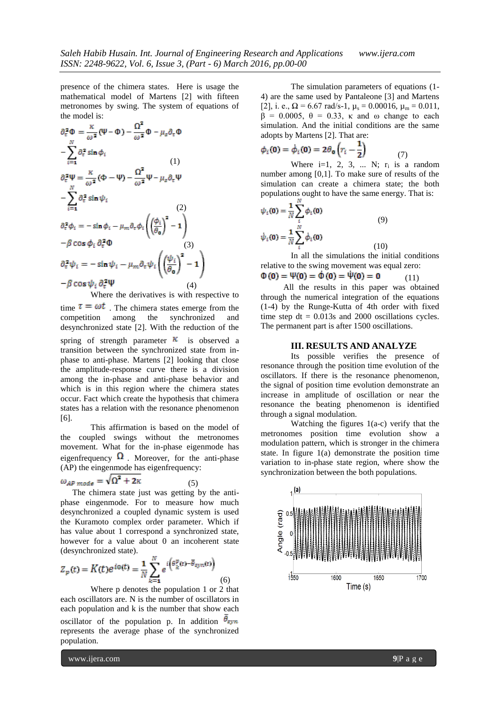presence of the chimera states. Here is usage the mathematical model of Martens [2] with fifteen metronomes by swing. The system of equations of the model is:

$$
\partial_{\tau}^{2} \Phi = \frac{\kappa}{\omega^{2}} (\Psi - \Phi) - \frac{\Omega^{2}}{\omega^{2}} \Phi - \mu_{s} \partial_{\tau} \Phi
$$
  
\n
$$
- \sum_{i=1}^{N} \partial_{\tau}^{2} \sin \phi_{i}
$$
  
\n
$$
\partial_{\tau}^{2} \Psi = \frac{\kappa}{\omega^{2}} (\Phi - \Psi) - \frac{\Omega^{2}}{\omega^{2}} \Psi - \mu_{s} \partial_{\tau} \Psi
$$
  
\n
$$
- \sum_{i=1}^{N} \partial_{\tau}^{2} \sin \psi_{i}
$$
  
\n
$$
\partial_{\tau}^{2} \phi_{i} = - \sin \phi_{i} - \mu_{m} \partial_{\tau} \phi_{i} \left( \left( \frac{\phi_{i}}{\theta_{0}} \right)^{2} - 1 \right)
$$
  
\n
$$
- \beta \cos \phi_{i} \partial_{\tau}^{2} \Phi
$$
  
\n
$$
\partial_{\tau}^{2} \psi_{i} = - \sin \psi_{i} - \mu_{m} \partial_{\tau} \psi_{i} \left( \left( \frac{\psi_{i}}{\theta_{0}} \right)^{2} - 1 \right)
$$
  
\n
$$
- \beta \cos \psi_{i} \partial_{\tau}^{2} \Psi
$$
  
\n(4)

Where the derivatives is with respective to time  $\tau = \omega t$ . The chimera states emerge from the competition among the synchronized and desynchronized state [2]. With the reduction of the spring of strength parameter  $\kappa$  is observed a transition between the synchronized state from inphase to anti-phase. Martens [2] looking that close the amplitude-response curve there is a division among the in-phase and anti-phase behavior and which is in this region where the chimera states occur. Fact which create the hypothesis that chimera states has a relation with the resonance phenomenon [6].

This affirmation is based on the model of the coupled swings without the metronomes movement. What for the in-phase eigenmode has eigenfrequency  $\Omega$ . Moreover, for the anti-phase (AP) the eingenmode has eigenfrequency:

$$
\omega_{AP\ mode} = \sqrt{\Omega^2 + 2\kappa} \tag{5}
$$

The chimera state just was getting by the antiphase eingenmode. For to measure how much desynchronized a coupled dynamic system is used the Kuramoto complex order parameter. Which if has value about 1 correspond a synchronized state, however for a value about 0 an incoherent state (desynchronized state).

$$
Z_p(t) = K(t)e^{i\omega(t)} = \frac{1}{N} \sum_{k=1}^{N} e^{i\left(\theta_k^p(t) - \overline{\theta}_{syn}(t)\right)}
$$
(6)

Where p denotes the population 1 or 2 that each oscillators are. N is the number of oscillators in each population and k is the number that show each oscillator of the population p. In addition  $\bar{\theta}_{syn}$ represents the average phase of the synchronized population.

The simulation parameters of equations (1- 4) are the same used by Pantaleone [3] and Martens [2], i. e.,  $\Omega = 6.67$  rad/s-1,  $\mu_s = 0.00016$ ,  $\mu_m = 0.011$ ,  $β = 0.0005$ ,  $θ = 0.33$ , κ and ω change to each simulation. And the initial conditions are the same adopts by Martens [2]. That are:

$$
\phi_i(\mathbf{0}) = \dot{\phi}_i(\mathbf{0}) = 2\theta_{\mathbf{0}} \left( r_i - \frac{1}{2} \right) \tag{7}
$$

Where i=1, 2, 3, ... N;  $r_i$  is a random number among [0,1]. To make sure of results of the simulation can create a chimera state; the both populations ought to have the same energy. That is:

$$
\psi_i(\mathbf{0}) = \frac{1}{N} \sum_{i}^{N} \phi_i(\mathbf{0})
$$
\n
$$
\dot{\psi}_i(\mathbf{0}) = \frac{1}{N} \sum_{i}^{N} \dot{\phi}_i(\mathbf{0})
$$
\n(9)\n(10)

In all the simulations the initial conditions relative to the swing movement was equal zero:<br>  $\Phi(\mathbf{0}) = \Psi(\mathbf{0}) = \dot{\Phi}(\mathbf{0}) = \dot{\Psi}(\mathbf{0}) = \mathbf{0}$  (11) (11)

All the results in this paper was obtained through the numerical integration of the equations (1-4) by the Runge-Kutta of 4th order with fixed time step  $dt = 0.013s$  and 2000 oscillations cycles. The permanent part is after 1500 oscillations.

#### **III. RESULTS AND ANALYZE**

Its possible verifies the presence of resonance through the position time evolution of the oscillators. If there is the resonance phenomenon, the signal of position time evolution demonstrate an increase in amplitude of oscillation or near the resonance the beating phenomenon is identified through a signal modulation.

Watching the figures 1(a-c) verify that the metronomes position time evolution show a modulation pattern, which is stronger in the chimera state. In figure 1(a) demonstrate the position time variation to in-phase state region, where show the synchronization between the both populations.

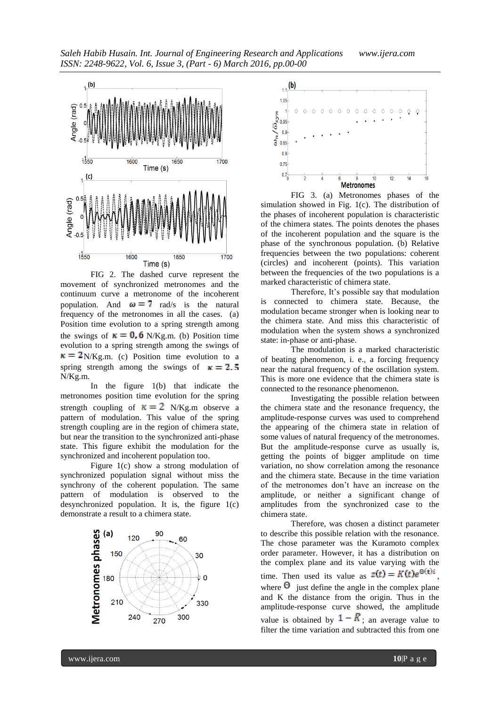

FIG 2. The dashed curve represent the movement of synchronized metronomes and the continuum curve a metronome of the incoherent population. And  $\omega = 7$  rad/s is the natural frequency of the metronomes in all the cases. (a) Position time evolution to a spring strength among the swings of  $\kappa = 0$ , 6 N/Kg.m. (b) Position time evolution to a spring strength among the swings of  $\kappa = 2$ <sub>N</sub>/Kg.m. (c) Position time evolution to a spring strength among the swings of  $\kappa = 2.5$ N/Kg.m.

In the figure 1(b) that indicate the metronomes position time evolution for the spring strength coupling of  $\kappa = 2$  N/Kg.m observe a pattern of modulation. This value of the spring strength coupling are in the region of chimera state, but near the transition to the synchronized anti-phase state. This figure exhibit the modulation for the synchronized and incoherent population too.

Figure 1(c) show a strong modulation of synchronized population signal without miss the synchrony of the coherent population. The same pattern of modulation is observed to the desynchronized population. It is, the figure 1(c) demonstrate a result to a chimera state.





FIG 3. (a) Metronomes phases of the simulation showed in Fig. 1(c). The distribution of the phases of incoherent population is characteristic of the chimera states. The points denotes the phases of the incoherent population and the square is the phase of the synchronous population. (b) Relative frequencies between the two populations: coherent (circles) and incoherent (points). This variation between the frequencies of the two populations is a marked characteristic of chimera state.

Therefore, It's possible say that modulation is connected to chimera state. Because, the modulation became stronger when is looking near to the chimera state. And miss this characteristic of modulation when the system shows a synchronized state: in-phase or anti-phase.

The modulation is a marked characteristic of beating phenomenon, i. e., a forcing frequency near the natural frequency of the oscillation system. This is more one evidence that the chimera state is connected to the resonance phenomenon.

Investigating the possible relation between the chimera state and the resonance frequency, the amplitude-response curves was used to comprehend the appearing of the chimera state in relation of some values of natural frequency of the metronomes. But the amplitude-response curve as usually is, getting the points of bigger amplitude on time variation, no show correlation among the resonance and the chimera state. Because in the time variation of the metronomes don't have an increase on the amplitude, or neither a significant change of amplitudes from the synchronized case to the chimera state.

Therefore, was chosen a distinct parameter to describe this possible relation with the resonance. The chose parameter was the Kuramoto complex order parameter. However, it has a distribution on the complex plane and its value varying with the time. Then used its value as  $z(t) = K(t)e^{\Theta(t)i}$ where  $\Theta$  just define the angle in the complex plane and K the distance from the origin. Thus in the amplitude-response curve showed, the amplitude value is obtained by  $1 - \bar{K}$ ; an average value to filter the time variation and subtracted this from one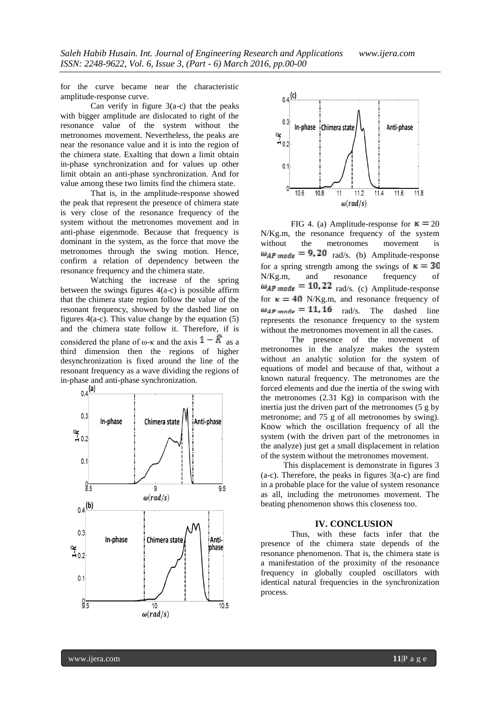for the curve became near the characteristic amplitude-response curve.

Can verify in figure 3(a-c) that the peaks with bigger amplitude are dislocated to right of the resonance value of the system without the metronomes movement. Nevertheless, the peaks are near the resonance value and it is into the region of the chimera state. Exalting that down a limit obtain in-phase synchronization and for values up other limit obtain an anti-phase synchronization. And for value among these two limits find the chimera state.

That is, in the amplitude-response showed the peak that represent the presence of chimera state is very close of the resonance frequency of the system without the metronomes movement and in anti-phase eigenmode. Because that frequency is dominant in the system, as the force that move the metronomes through the swing motion. Hence, confirm a relation of dependency between the resonance frequency and the chimera state.

Watching the increase of the spring between the swings figures  $4(a-c)$  is possible affirm that the chimera state region follow the value of the resonant frequency, showed by the dashed line on figures  $4(a-c)$ . This value change by the equation (5) and the chimera state follow it. Therefore, if is considered the plane of  $\omega$ - $\kappa$  and the axis  $1 - K$  as a third dimension then the regions of higher desynchronization is fixed around the line of the resonant frequency as a wave dividing the regions of





FIG 4. (a) Amplitude-response for  $\kappa = 20$ N/Kg.m, the resonance frequency of the system<br>without the metronomes movement is the metronomes movement is  $\omega_{AP\ mode} = 9.20$  rad/s. (b) Amplitude-response for a spring strength among the swings of  $\kappa = 30$ N/Kg.m, and resonance frequency of  $\omega_{AP\ mode} = 10.22$  rad/s. (c) Amplitude-response for  $\kappa = 40$  N/Kg.m, and resonance frequency of  $\omega_{AP \text{ mode}} = 11.16$  rad/s. The dashed line represents the resonance frequency to the system without the metronomes movement in all the cases.

The presence of the movement of metronomes in the analyze makes the system without an analytic solution for the system of equations of model and because of that, without a known natural frequency. The metronomes are the forced elements and due the inertia of the swing with the metronomes (2.31 Kg) in comparison with the inertia just the driven part of the metronomes (5 g by metronome; and 75 g of all metronomes by swing). Know which the oscillation frequency of all the system (with the driven part of the metronomes in the analyze) just get a small displacement in relation of the system without the metronomes movement.

This displacement is demonstrate in figures 3  $(a-c)$ . Therefore, the peaks in figures  $3(a-c)$  are find in a probable place for the value of system resonance as all, including the metronomes movement. The beating phenomenon shows this closeness too.

#### **IV. CONCLUSION**

Thus, with these facts infer that the presence of the chimera state depends of the resonance phenomenon. That is, the chimera state is a manifestation of the proximity of the resonance frequency in globally coupled oscillators with identical natural frequencies in the synchronization process.